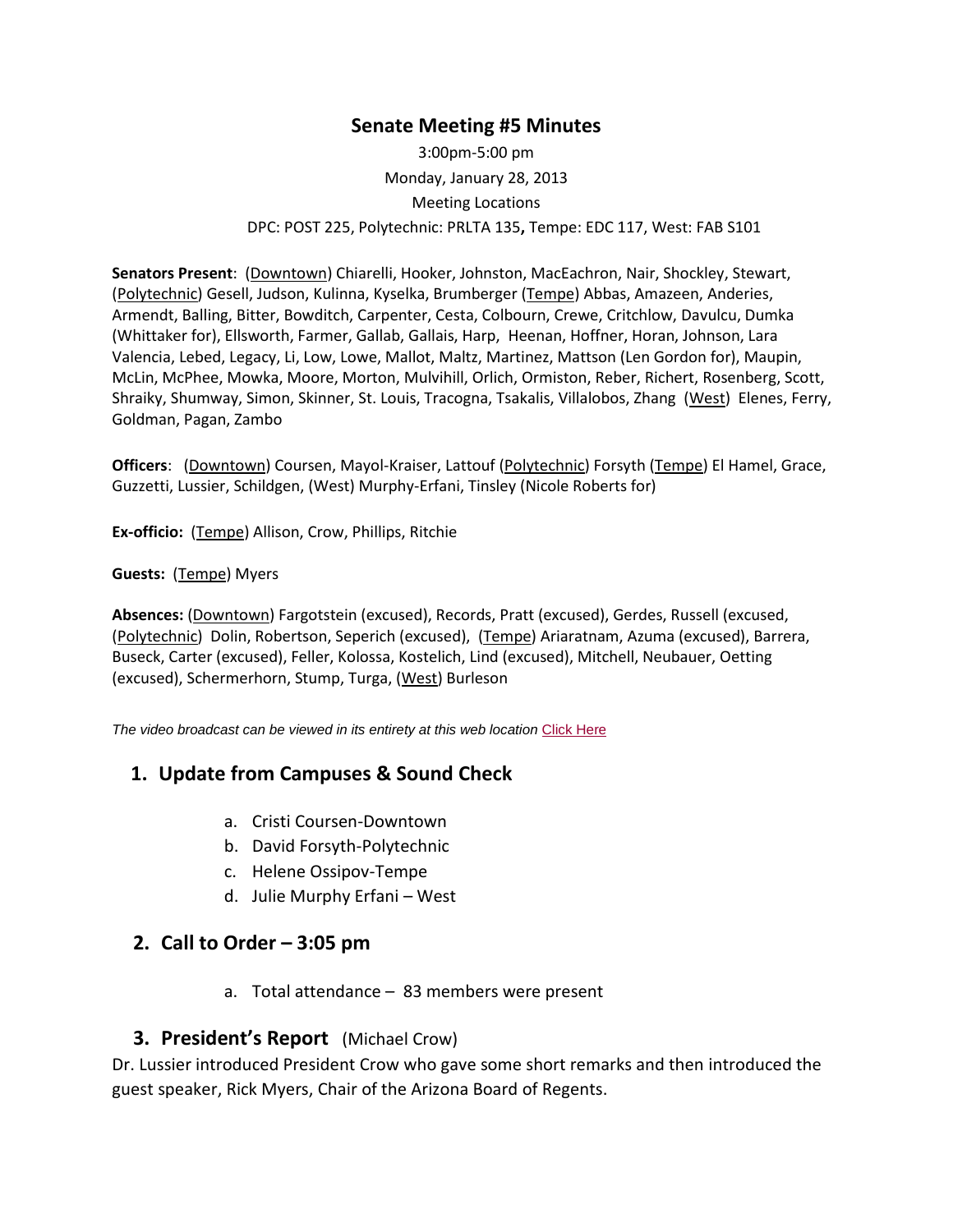# **Senate Meeting #5 Minutes**

3:00pm-5:00 pm Monday, January 28, 2013 Meeting Locations DPC: POST 225, Polytechnic: PRLTA 135**,** Tempe: EDC 117, West: FAB S101

**Senators Present**: (Downtown) Chiarelli, Hooker, Johnston, MacEachron, Nair, Shockley, Stewart, (Polytechnic) Gesell, Judson, Kulinna, Kyselka, Brumberger (Tempe) Abbas, Amazeen, Anderies, Armendt, Balling, Bitter, Bowditch, Carpenter, Cesta, Colbourn, Crewe, Critchlow, Davulcu, Dumka (Whittaker for), Ellsworth, Farmer, Gallab, Gallais, Harp, Heenan, Hoffner, Horan, Johnson, Lara Valencia, Lebed, Legacy, Li, Low, Lowe, Mallot, Maltz, Martinez, Mattson (Len Gordon for), Maupin, McLin, McPhee, Mowka, Moore, Morton, Mulvihill, Orlich, Ormiston, Reber, Richert, Rosenberg, Scott, Shraiky, Shumway, Simon, Skinner, St. Louis, Tracogna, Tsakalis, Villalobos, Zhang (West) Elenes, Ferry, Goldman, Pagan, Zambo

**Officers**: (Downtown) Coursen, Mayol-Kraiser, Lattouf (Polytechnic) Forsyth (Tempe) El Hamel, Grace, Guzzetti, Lussier, Schildgen, (West) Murphy-Erfani, Tinsley (Nicole Roberts for)

**Ex-officio:** (Tempe) Allison, Crow, Phillips, Ritchie

#### **Guests:** (Tempe) Myers

**Absences:** (Downtown) Fargotstein (excused), Records, Pratt (excused), Gerdes, Russell (excused, (Polytechnic) Dolin, Robertson, Seperich (excused), (Tempe) Ariaratnam, Azuma (excused), Barrera, Buseck, Carter (excused), Feller, Kolossa, Kostelich, Lind (excused), Mitchell, Neubauer, Oetting (excused), Schermerhorn, Stump, Turga, (West) Burleson

*The video broadcast can be viewed in its entirety at this web location* [Click Here](http://usenate.asu.edu/videos)

#### **1. Update from Campuses & Sound Check**

- a. Cristi Coursen-Downtown
- b. David Forsyth-Polytechnic
- c. Helene Ossipov-Tempe
- d. Julie Murphy Erfani West

### **2. Call to Order – 3:05 pm**

a. Total attendance – 83 members were present

#### **3. President's Report** (Michael Crow)

Dr. Lussier introduced President Crow who gave some short remarks and then introduced the guest speaker, Rick Myers, Chair of the Arizona Board of Regents.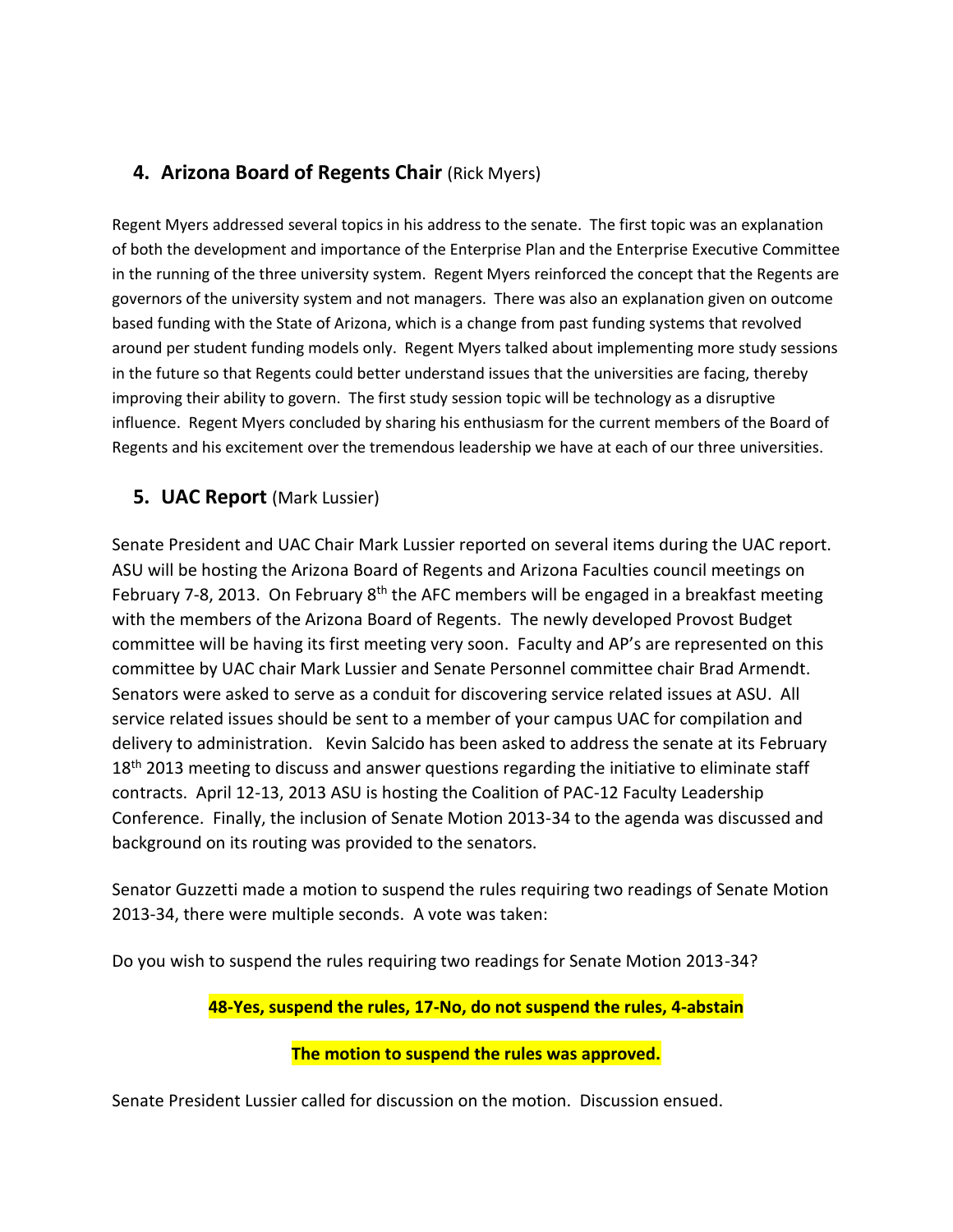# **4. Arizona Board of Regents Chair (Rick Myers)**

Regent Myers addressed several topics in his address to the senate. The first topic was an explanation of both the development and importance of the Enterprise Plan and the Enterprise Executive Committee in the running of the three university system. Regent Myers reinforced the concept that the Regents are governors of the university system and not managers. There was also an explanation given on outcome based funding with the State of Arizona, which is a change from past funding systems that revolved around per student funding models only. Regent Myers talked about implementing more study sessions in the future so that Regents could better understand issues that the universities are facing, thereby improving their ability to govern. The first study session topic will be technology as a disruptive influence. Regent Myers concluded by sharing his enthusiasm for the current members of the Board of Regents and his excitement over the tremendous leadership we have at each of our three universities.

# **5. UAC Report** (Mark Lussier)

Senate President and UAC Chair Mark Lussier reported on several items during the UAC report. ASU will be hosting the Arizona Board of Regents and Arizona Faculties council meetings on February 7-8, 2013. On February  $8<sup>th</sup>$  the AFC members will be engaged in a breakfast meeting with the members of the Arizona Board of Regents. The newly developed Provost Budget committee will be having its first meeting very soon. Faculty and AP's are represented on this committee by UAC chair Mark Lussier and Senate Personnel committee chair Brad Armendt. Senators were asked to serve as a conduit for discovering service related issues at ASU. All service related issues should be sent to a member of your campus UAC for compilation and delivery to administration. Kevin Salcido has been asked to address the senate at its February 18<sup>th</sup> 2013 meeting to discuss and answer questions regarding the initiative to eliminate staff contracts. April 12-13, 2013 ASU is hosting the Coalition of PAC-12 Faculty Leadership Conference. Finally, the inclusion of Senate Motion 2013-34 to the agenda was discussed and background on its routing was provided to the senators.

Senator Guzzetti made a motion to suspend the rules requiring two readings of Senate Motion 2013-34, there were multiple seconds. A vote was taken:

Do you wish to suspend the rules requiring two readings for Senate Motion 2013-34?

#### **48-Yes, suspend the rules, 17-No, do not suspend the rules, 4-abstain**

#### **The motion to suspend the rules was approved.**

Senate President Lussier called for discussion on the motion. Discussion ensued.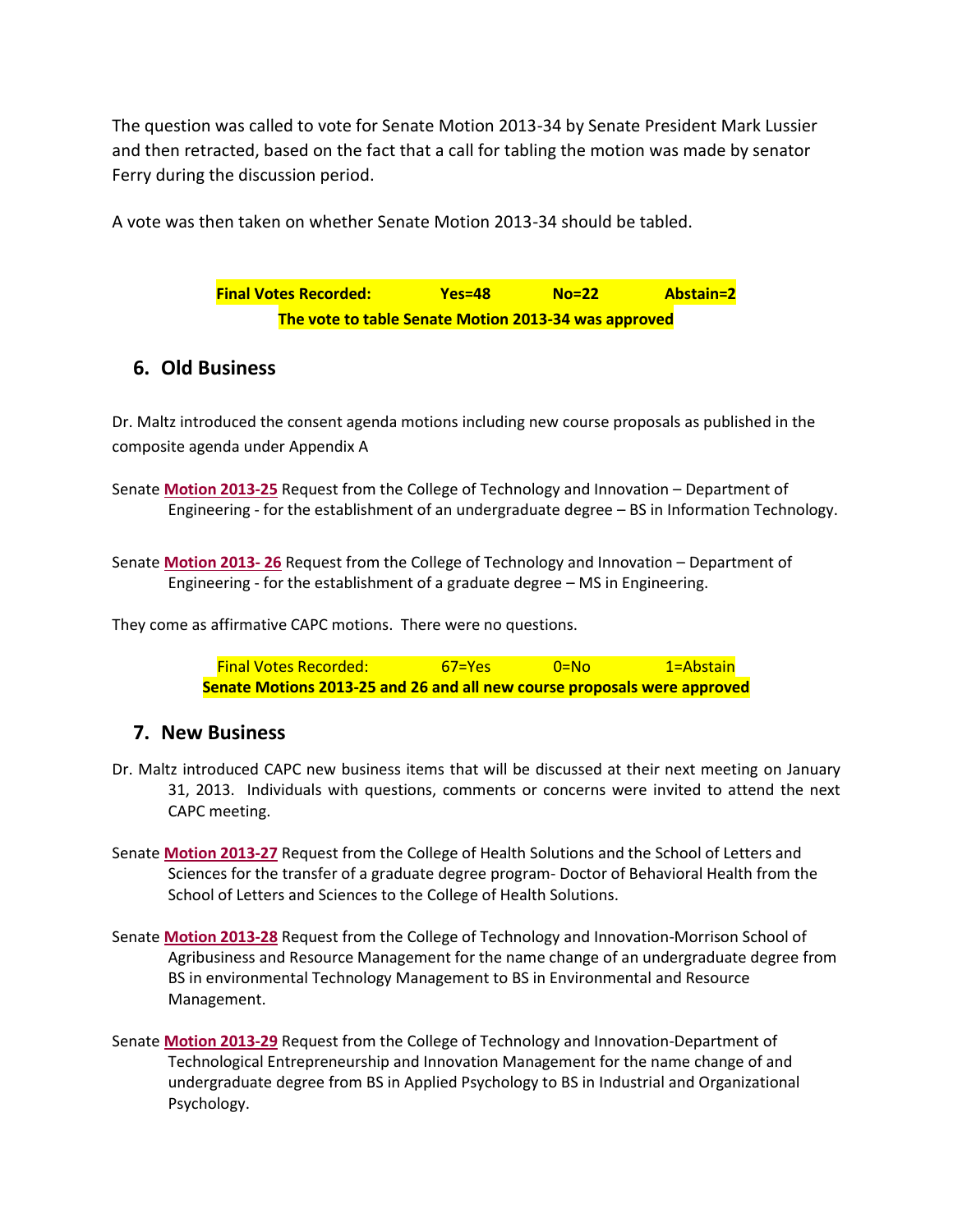The question was called to vote for Senate Motion 2013-34 by Senate President Mark Lussier and then retracted, based on the fact that a call for tabling the motion was made by senator Ferry during the discussion period.

A vote was then taken on whether Senate Motion 2013-34 should be tabled.

**Final Votes Recorded: Yes=48 No=22 Abstain=2 The vote to table Senate Motion 2013-34 was approved**

# **6. Old Business**

Dr. Maltz introduced the consent agenda motions including new course proposals as published in the composite agenda under Appendix A

Senate **[Motion 2013-25](http://usenate.asu.edu/node/4460)** Request from the College of Technology and Innovation – Department of Engineering - for the establishment of an undergraduate degree – BS in Information Technology.

Senate **[Motion 2013-](http://usenate.asu.edu/node/4461) 26** Request from the College of Technology and Innovation – Department of Engineering - for the establishment of a graduate degree – MS in Engineering.

They come as affirmative CAPC motions. There were no questions.

Final Votes Recorded: 67=Yes 0=No 1=Abstain **Senate Motions 2013-25 and 26 and all new course proposals were approved**

#### **7. New Business**

- Dr. Maltz introduced CAPC new business items that will be discussed at their next meeting on January 31, 2013. Individuals with questions, comments or concerns were invited to attend the next CAPC meeting.
- Senate **[Motion 2013-27](http://usenate.asu.edu/node/4478)** Request from the College of Health Solutions and the School of Letters and Sciences for the transfer of a graduate degree program- Doctor of Behavioral Health from the School of Letters and Sciences to the College of Health Solutions.
- Senate **[Motion 2013-28](http://usenate.asu.edu/node/4479)** Request from the College of Technology and Innovation-Morrison School of Agribusiness and Resource Management for the name change of an undergraduate degree from BS in environmental Technology Management to BS in Environmental and Resource Management.
- Senate **[Motion 2013-29](http://usenate.asu.edu/node/4480)** Request from the College of Technology and Innovation-Department of Technological Entrepreneurship and Innovation Management for the name change of and undergraduate degree from BS in Applied Psychology to BS in Industrial and Organizational Psychology.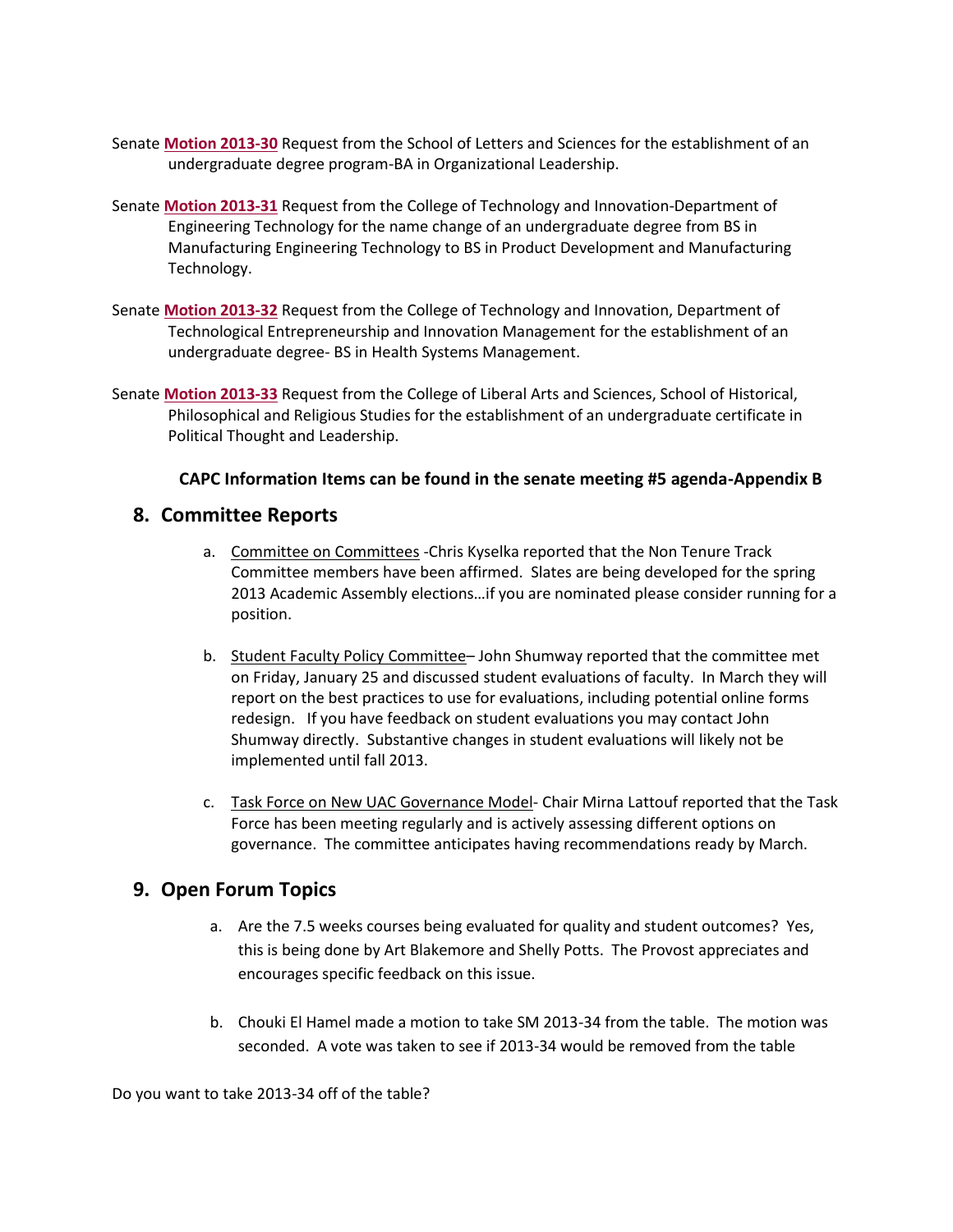- Senate **[Motion 2013-30](http://usenate.asu.edu/node/4481)** Request from the School of Letters and Sciences for the establishment of an undergraduate degree program-BA in Organizational Leadership.
- Senate **[Motion 2013-31](http://usenate.asu.edu/node/4482)** Request from the College of Technology and Innovation-Department of Engineering Technology for the name change of an undergraduate degree from BS in Manufacturing Engineering Technology to BS in Product Development and Manufacturing Technology.
- Senate **[Motion 2013-32](http://usenate.asu.edu/node/4483)** Request from the College of Technology and Innovation, Department of Technological Entrepreneurship and Innovation Management for the establishment of an undergraduate degree- BS in Health Systems Management.
- Senate **[Motion 2013-33](http://usenate.asu.edu/node/4486)** Request from the College of Liberal Arts and Sciences, School of Historical, Philosophical and Religious Studies for the establishment of an undergraduate certificate in Political Thought and Leadership.

#### **CAPC Information Items can be found in the senate meeting #5 agenda-Appendix B**

#### **8. Committee Reports**

- a. Committee on Committees Chris Kyselka reported that the Non Tenure Track Committee members have been affirmed. Slates are being developed for the spring 2013 Academic Assembly elections…if you are nominated please consider running for a position.
- b. Student Faculty Policy Committee– John Shumway reported that the committee met on Friday, January 25 and discussed student evaluations of faculty. In March they will report on the best practices to use for evaluations, including potential online forms redesign. If you have feedback on student evaluations you may contact John Shumway directly. Substantive changes in student evaluations will likely not be implemented until fall 2013.
- c. Task Force on New UAC Governance Model- Chair Mirna Lattouf reported that the Task Force has been meeting regularly and is actively assessing different options on governance. The committee anticipates having recommendations ready by March.

# **9. Open Forum Topics**

- a. Are the 7.5 weeks courses being evaluated for quality and student outcomes? Yes, this is being done by Art Blakemore and Shelly Potts. The Provost appreciates and encourages specific feedback on this issue.
- b. Chouki El Hamel made a motion to take SM 2013-34 from the table. The motion was seconded. A vote was taken to see if 2013-34 would be removed from the table

Do you want to take 2013-34 off of the table?